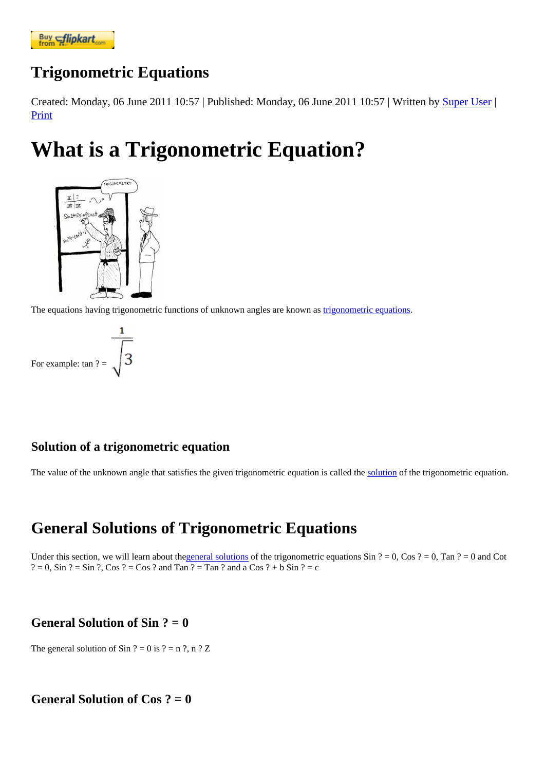## [Trigonometr](https://www.flipkart.com/spoken-english-3rd/p/itmezunpyjy5xcc7?pid=9789339221461&affid=kaminiraw)ic Equations

Created: Monday, 06 June 2011 10:57 ublished: Monday, 06 June 2011 10:57 ritten by Super User Print

# What is a Trigonometric Equation?

The equations having trigonometric functions of unknown angles are known at a smetric equations.

For example:  $tan ? =$ 

### Solution of a trigonometric equation

The value of the unknown angle that satisfies the given trigonometric equation is called the trigonometric equation.

## General Solutions of Trigonometric Equations

Under this section, we will learn about *deneral solution* of the trigonometric equations  $\sin$  ? = 0, Cos ? = 0, Tan ? = 0 and Cot  $? = 0$ , Sin  $? = \text{Sin } ?$ , Cos  $? = \text{Cos } ?$  and Tan  $? = \text{Tan } ?$  and a Cos  $? + b \text{ Sin } ? = c$ 

### General Solution of Sin  $? = 0$

The general solution of Sin  $? = 0$  is  $? = n$  ?, n ? Z

General Solution of  $Cos$  ? = 0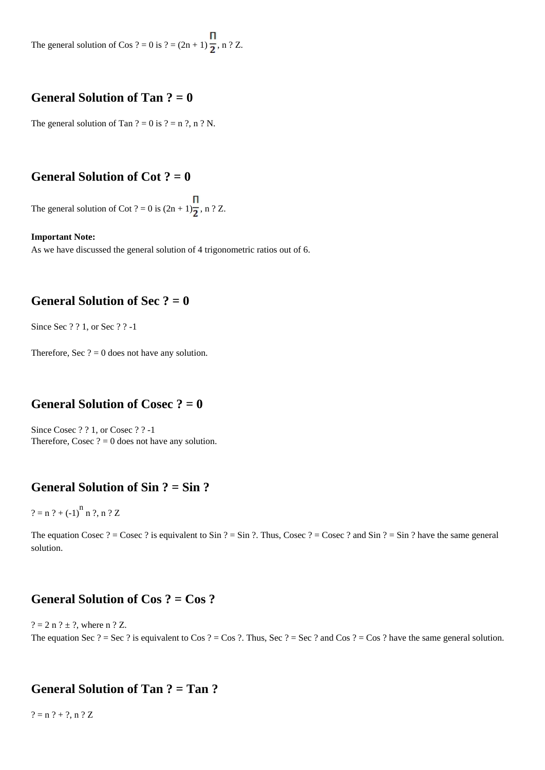The general solution of Cos ? = 0 is ? =  $(2n + 1) \frac{\Pi}{2}$ , n ? Z.

#### **General Solution of Tan ? = 0**

The general solution of Tan  $? = 0$  is  $? = n$  ?, n ? N.

#### **General Solution of Cot ? = 0**

The general solution of Cot ? = 0 is  $(2n + 1)\frac{\Pi}{2}$ , n ? Z.

#### **Important Note:**

As we have discussed the general solution of 4 trigonometric ratios out of 6.

#### **General Solution of Sec ? = 0**

Since Sec ? ? 1, or Sec ? ? -1

Therefore, Sec  $? = 0$  does not have any solution.

#### **General Solution of Cosec ? = 0**

Since Cosec ? ? 1, or Cosec ? ? -1 Therefore, Cosec  $? = 0$  does not have any solution.

#### **General Solution of Sin ? = Sin ?**

 $? = n ? + (-1)^n n ?$ , n ? Z

The equation Cosec ? = Cosec ? is equivalent to Sin ? = Sin ?. Thus, Cosec ? = Cosec ? and Sin ? = Sin ? have the same general solution.

#### **General Solution of Cos ? = Cos ?**

 $? = 2 n ? \pm ?$ , where n ? Z. The equation Sec ? = Sec ? is equivalent to Cos ? = Cos ?. Thus, Sec ? = Sec ? and Cos ? = Cos ? have the same general solution.

#### **General Solution of Tan ? = Tan ?**

 $? = n ? + ?$ , n ? Z